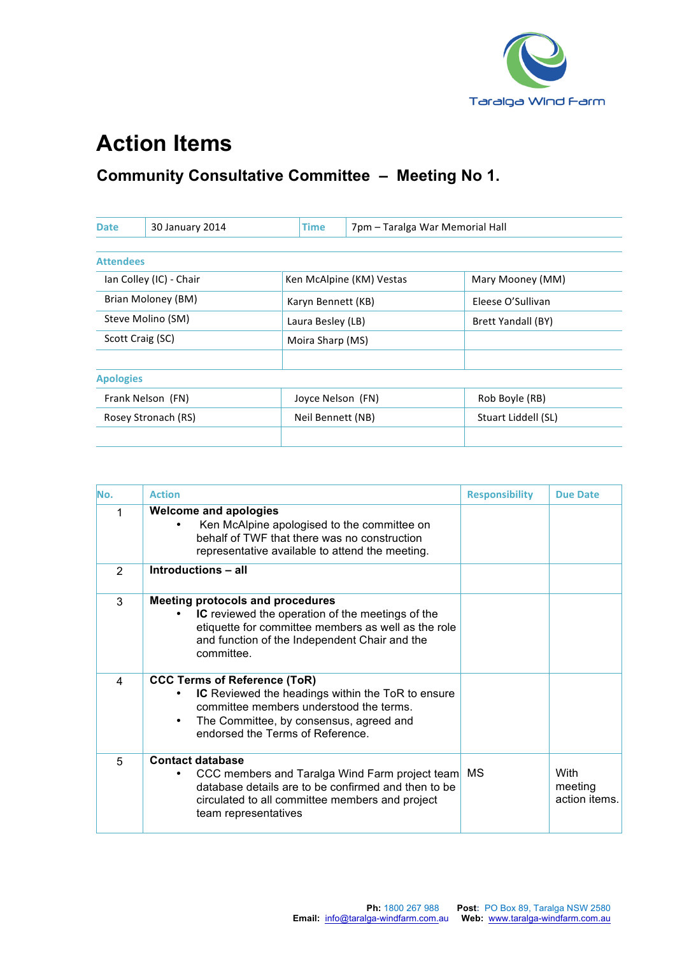

## **Action Items**

## **Community Consultative Committee – Meeting No 1.**

| 30 January 2014<br><b>Date</b> |  | Time               | 7pm - Taralga War Memorial Hall |                     |  |
|--------------------------------|--|--------------------|---------------------------------|---------------------|--|
|                                |  |                    |                                 |                     |  |
| <b>Attendees</b>               |  |                    |                                 |                     |  |
| Ian Colley (IC) - Chair        |  |                    | Ken McAlpine (KM) Vestas        | Mary Mooney (MM)    |  |
| Brian Moloney (BM)             |  | Karyn Bennett (KB) |                                 | Eleese O'Sullivan   |  |
| Steve Molino (SM)              |  | Laura Besley (LB)  |                                 | Brett Yandall (BY)  |  |
| Scott Craig (SC)               |  | Moira Sharp (MS)   |                                 |                     |  |
| <b>Apologies</b>               |  |                    |                                 |                     |  |
| Frank Nelson (FN)              |  | Joyce Nelson (FN)  |                                 | Rob Boyle (RB)      |  |
| Rosey Stronach (RS)            |  | Neil Bennett (NB)  |                                 | Stuart Liddell (SL) |  |
|                                |  |                    |                                 |                     |  |

| No.            | <b>Action</b>                                                                                                                                                                                                            | <b>Responsibility</b> | Due Date                         |
|----------------|--------------------------------------------------------------------------------------------------------------------------------------------------------------------------------------------------------------------------|-----------------------|----------------------------------|
| 1              | <b>Welcome and apologies</b><br>Ken McAlpine apologised to the committee on<br>behalf of TWF that there was no construction<br>representative available to attend the meeting.                                           |                       |                                  |
| 2              | Introductions - all                                                                                                                                                                                                      |                       |                                  |
| 3              | <b>Meeting protocols and procedures</b><br><b>IC</b> reviewed the operation of the meetings of the<br>etiquette for committee members as well as the role<br>and function of the Independent Chair and the<br>committee. |                       |                                  |
| $\overline{4}$ | <b>CCC Terms of Reference (ToR)</b><br>IC Reviewed the headings within the ToR to ensure<br>committee members understood the terms.<br>The Committee, by consensus, agreed and<br>٠<br>endorsed the Terms of Reference.  |                       |                                  |
| 5              | <b>Contact database</b><br>CCC members and Taralga Wind Farm project team<br>database details are to be confirmed and then to be<br>circulated to all committee members and project<br>team representatives              | МS                    | With<br>meeting<br>action items. |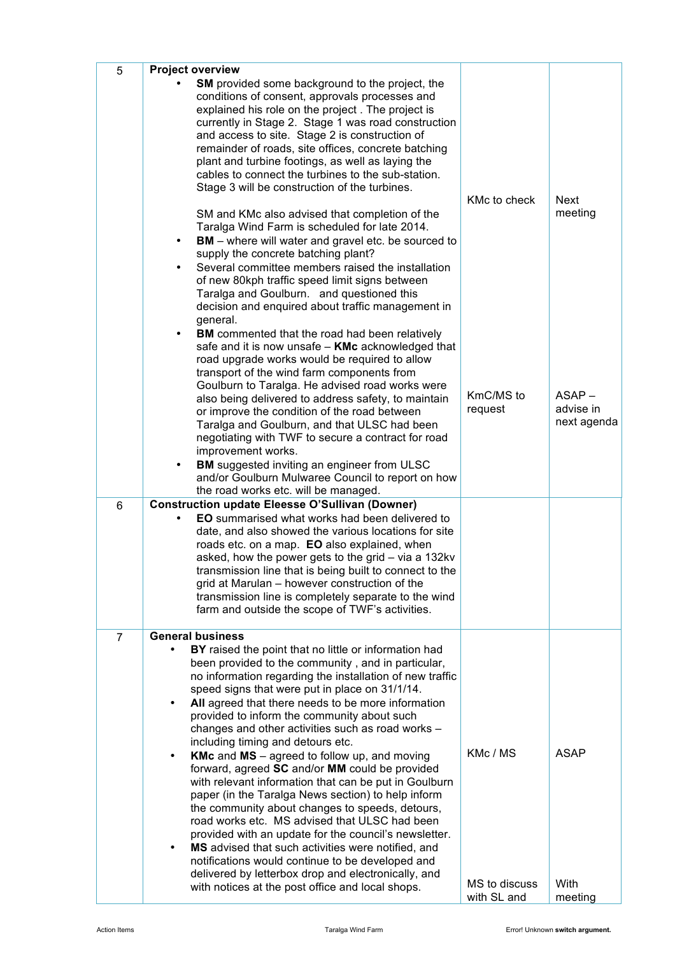| 5              | <b>Project overview</b>                                                                                                                                                                                                                                                                                                                                                                                                                                                                                                                                                                                                                                                      |                              |                                      |
|----------------|------------------------------------------------------------------------------------------------------------------------------------------------------------------------------------------------------------------------------------------------------------------------------------------------------------------------------------------------------------------------------------------------------------------------------------------------------------------------------------------------------------------------------------------------------------------------------------------------------------------------------------------------------------------------------|------------------------------|--------------------------------------|
|                | <b>SM</b> provided some background to the project, the<br>conditions of consent, approvals processes and<br>explained his role on the project. The project is<br>currently in Stage 2. Stage 1 was road construction<br>and access to site. Stage 2 is construction of<br>remainder of roads, site offices, concrete batching<br>plant and turbine footings, as well as laying the<br>cables to connect the turbines to the sub-station.<br>Stage 3 will be construction of the turbines.                                                                                                                                                                                    | KMc to check                 | <b>Next</b><br>meeting               |
|                | SM and KMc also advised that completion of the<br>Taralga Wind Farm is scheduled for late 2014.<br><b>BM</b> – where will water and gravel etc. be sourced to<br>$\bullet$<br>supply the concrete batching plant?<br>Several committee members raised the installation<br>$\bullet$<br>of new 80kph traffic speed limit signs between<br>Taralga and Goulburn. and questioned this<br>decision and enquired about traffic management in<br>general.                                                                                                                                                                                                                          |                              |                                      |
|                | <b>BM</b> commented that the road had been relatively<br>$\bullet$<br>safe and it is now unsafe - KMc acknowledged that<br>road upgrade works would be required to allow<br>transport of the wind farm components from<br>Goulburn to Taralga. He advised road works were<br>also being delivered to address safety, to maintain<br>or improve the condition of the road between<br>Taralga and Goulburn, and that ULSC had been<br>negotiating with TWF to secure a contract for road<br>improvement works.<br><b>BM</b> suggested inviting an engineer from ULSC<br>$\bullet$<br>and/or Goulburn Mulwaree Council to report on how<br>the road works etc. will be managed. | KmC/MS to<br>request         | $ASAP -$<br>advise in<br>next agenda |
| 6              | <b>Construction update Eleesse O'Sullivan (Downer)</b>                                                                                                                                                                                                                                                                                                                                                                                                                                                                                                                                                                                                                       |                              |                                      |
|                | <b>EO</b> summarised what works had been delivered to<br>date, and also showed the various locations for site<br>roads etc. on a map. EO also explained, when<br>asked, how the power gets to the grid - via a 132kv<br>transmission line that is being built to connect to the<br>grid at Marulan - however construction of the<br>transmission line is completely separate to the wind<br>farm and outside the scope of TWF's activities.                                                                                                                                                                                                                                  |                              |                                      |
| $\overline{7}$ | <b>General business</b>                                                                                                                                                                                                                                                                                                                                                                                                                                                                                                                                                                                                                                                      |                              |                                      |
|                | BY raised the point that no little or information had<br>been provided to the community, and in particular,<br>no information regarding the installation of new traffic<br>speed signs that were put in place on 31/1/14.<br>All agreed that there needs to be more information<br>$\bullet$<br>provided to inform the community about such<br>changes and other activities such as road works -<br>including timing and detours etc.                                                                                                                                                                                                                                        |                              |                                      |
|                | <b>KMc</b> and $MS$ – agreed to follow up, and moving<br>$\bullet$<br>forward, agreed SC and/or MM could be provided<br>with relevant information that can be put in Goulburn<br>paper (in the Taralga News section) to help inform<br>the community about changes to speeds, detours,<br>road works etc. MS advised that ULSC had been<br>provided with an update for the council's newsletter.<br>MS advised that such activities were notified, and<br>notifications would continue to be developed and<br>delivered by letterbox drop and electronically, and                                                                                                            | KMc / MS                     | <b>ASAP</b>                          |
|                | with notices at the post office and local shops.                                                                                                                                                                                                                                                                                                                                                                                                                                                                                                                                                                                                                             | MS to discuss<br>with SL and | With<br>meeting                      |